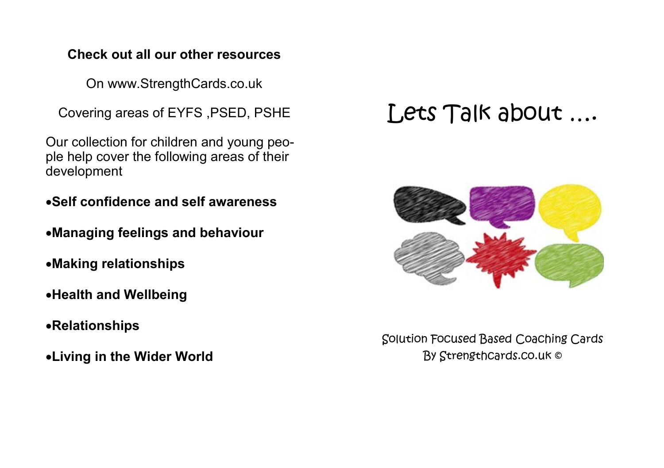# **Check out all our other resources**

On www.StrengthCards.co.uk

Covering areas of EYFS ,PSED, PSHE

Our collection for children and young people help cover the following areas of their development

- •**Self confidence and self awareness**
- •**Managing feelings and behaviour**
- •**Making relationships**
- •**Health and Wellbeing**
- •**Relationships**
- •**Living in the Wider World**

# Lets Talk about ….



Solution Focused Based Coaching Cards By Strengthcards.co.uk ©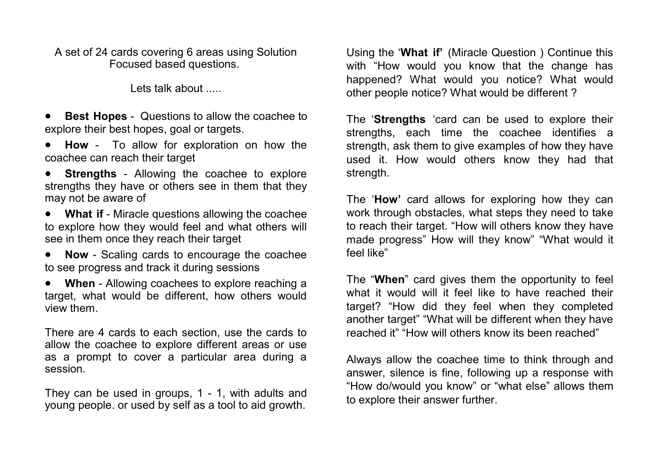A set of 24 cards covering 6 areas using Solution Focused based questions.

Lets talk about .....

• **Best Hopes** - Questions to allow the coachee to explore their best hopes, goal or targets.

• **How** - To allow for exploration on how the coachee can reach their target

• **Strengths** - Allowing the coachee to explore strengths they have or others see in them that they may not be aware of

• **What if** - Miracle questions allowing the coachee to explore how they would feel and what others will see in them once they reach their target

• **Now** - Scaling cards to encourage the coachee to see progress and track it during sessions

• **When** - Allowing coachees to explore reaching a target, what would be different, how others would view them.

There are 4 cards to each section, use the cards to allow the coachee to explore different areas or use as a prompt to cover a particular area during a session.

They can be used in groups, 1 - 1, with adults and young people. or used by self as a tool to aid growth.

Using the '**What if'** (Miracle Question ) Continue this with "How would you know that the change has happened? What would you notice? What would other people notice? What would be different ?

The '**Strengths** 'card can be used to explore their strengths, each time the coachee identifies a strength, ask them to give examples of how they have used it. How would others know they had that strength.

The '**How'** card allows for exploring how they can work through obstacles, what steps they need to take to reach their target. "How will others know they have made progress" How will they know" "What would it feel like"

The "**When**" card gives them the opportunity to feel what it would will it feel like to have reached their target? "How did they feel when they completed another target" "What will be different when they have reached it" "How will others know its been reached"

Always allow the coachee time to think through and answer, silence is fine, following up a response with "How do/would you know" or "what else" allows them to explore their answer further.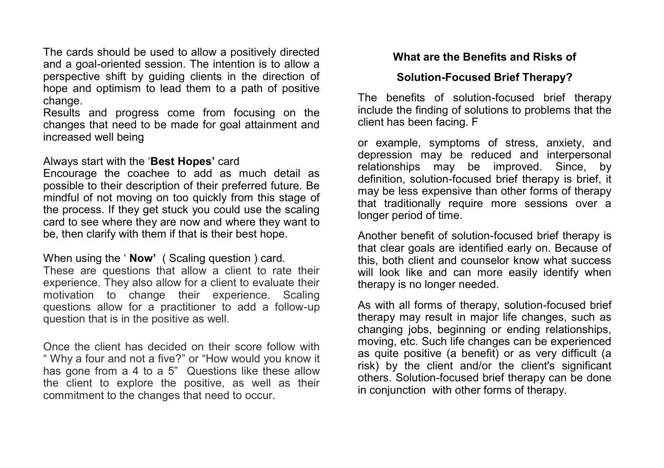The cards should be used to allow a positively directed and a goal-oriented session. The intention is to allow a perspective shift by guiding clients in the direction of hope and optimism to lead them to a path of positive change.

Results and progress come from focusing on the changes that need to be made for goal attainment and increased well being

#### Always start with the '**Best Hopes'** card

Encourage the coachee to add as much detail as possible to their description of their preferred future. Be mindful of not moving on too quickly from this stage of the process. If they get stuck you could use the scaling card to see where they are now and where they want to be, then clarify with them if that is their best hope.

#### When using the ' **Now'** ( Scaling question ) card.

These are questions that allow a client to rate their experience. They also allow for a client to evaluate their motivation to change their experience. Scaling questions allow for a practitioner to add a follow-up question that is in the positive as well.

Once the client has decided on their score follow with " Why a four and not a five?" or "How would you know it has gone from a 4 to a 5" Questions like these allow the client to explore the positive, as well as their commitment to the changes that need to occur.

### **What are the Benefits and Risks of**

## **Solution-Focused Brief Therapy?**

The benefits of solution-focused brief therapy include the finding of solutions to problems that the client has been facing. F

or example, symptoms of stress, anxiety, and depression may be reduced and interpersonal relationships may be improved. Since, by definition, solution-focused brief therapy is brief, it may be less expensive than other forms of therapy that traditionally require more sessions over a longer period of time.

Another benefit of solution-focused brief therapy is that clear goals are identified early on. Because of this, both client and counselor know what success will look like and can more easily identify when therapy is no longer needed.

As with all forms of therapy, solution-focused brief therapy may result in major life changes, such as changing jobs, beginning or ending relationships, moving, etc. Such life changes can be experienced as quite positive (a benefit) or as very difficult (a risk) by the client and/or the client's significant others. Solution-focused brief therapy can be done in conjunction with other forms of therapy.